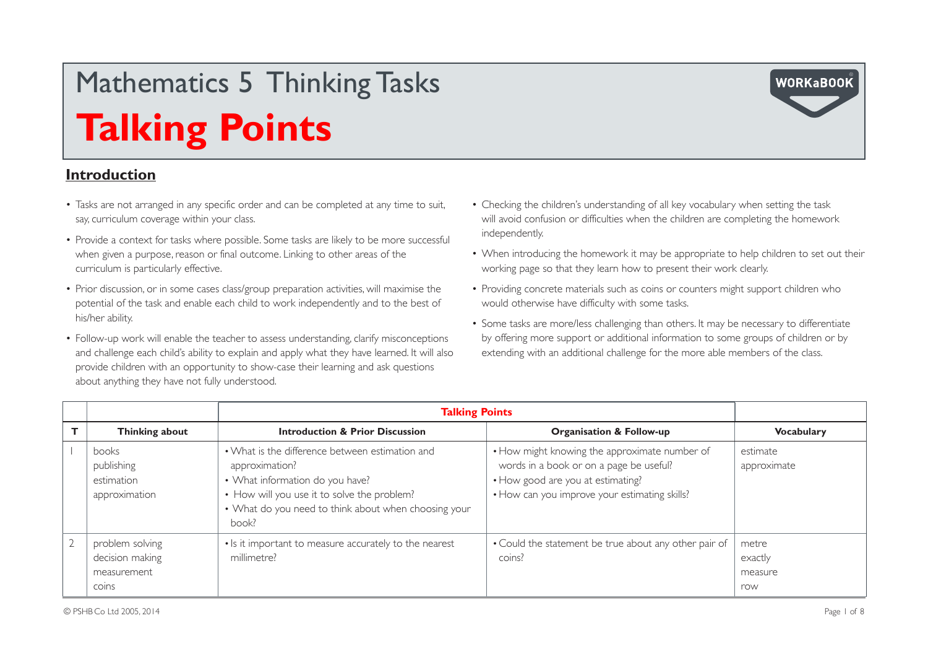### **Introduction**

- Tasks are not arranged in any specific order and can be completed at any time to suit, say, curriculum coverage within your class.
- Provide a context for tasks where possible. Some tasks are likely to be more successful when given a purpose, reason or final outcome. Linking to other areas of the curriculum is particularly effective.
- Prior discussion, or in some cases class/group preparation activities, will maximise the potential of the task and enable each child to work independently and to the best of his/her ability.
- Follow-up work will enable the teacher to assess understanding, clarify misconceptions and challenge each child's ability to explain and apply what they have learned. It will also provide children with an opportunity to show-case their learning and ask questions about anything they have not fully understood.
- Checking the children's understanding of all key vocabulary when setting the task will avoid confusion or difficulties when the children are completing the homework independently.
- When introducing the homework it may be appropriate to help children to set out their working page so that they learn how to present their work clearly.
- Providing concrete materials such as coins or counters might support children who would otherwise have difficulty with some tasks.
- Some tasks are more/less challenging than others. It may be necessary to differentiate by offering more support or additional information to some groups of children or by extending with an additional challenge for the more able members of the class.

|                                                                   | <b>Talking Points</b>                                                                                                                                                                                                |                                                                                                                                                                                |                                    |
|-------------------------------------------------------------------|----------------------------------------------------------------------------------------------------------------------------------------------------------------------------------------------------------------------|--------------------------------------------------------------------------------------------------------------------------------------------------------------------------------|------------------------------------|
| Thinking about                                                    | <b>Introduction &amp; Prior Discussion</b>                                                                                                                                                                           | <b>Organisation &amp; Follow-up</b>                                                                                                                                            | <b>Vocabulary</b>                  |
| books<br>publishing<br>estimation<br>approximation                | • What is the difference between estimation and<br>approximation?<br>• What information do you have?<br>• How will you use it to solve the problem?<br>• What do you need to think about when choosing your<br>book? | • How might knowing the approximate number of<br>words in a book or on a page be useful?<br>• How good are you at estimating?<br>• How can you improve your estimating skills? | estimate<br>approximate            |
| problem solving<br>decision making<br>measurement<br><b>COINS</b> | • Is it important to measure accurately to the nearest<br>millimetre?                                                                                                                                                | • Could the statement be true about any other pair of<br>coins?                                                                                                                | metre<br>exactly<br>measure<br>row |

**WORKaBOOK**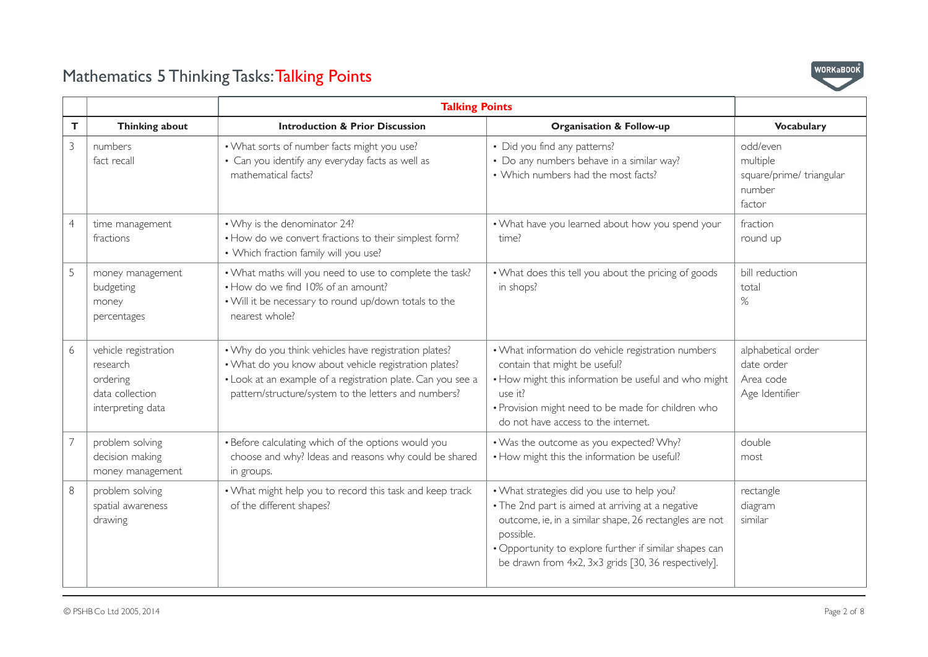

|                |                                                                                      | <b>Talking Points</b>                                                                                                                                                                                                                 |                                                                                                                                                                                                                                                                                         |                                                                      |
|----------------|--------------------------------------------------------------------------------------|---------------------------------------------------------------------------------------------------------------------------------------------------------------------------------------------------------------------------------------|-----------------------------------------------------------------------------------------------------------------------------------------------------------------------------------------------------------------------------------------------------------------------------------------|----------------------------------------------------------------------|
| T.             | Thinking about                                                                       | <b>Introduction &amp; Prior Discussion</b>                                                                                                                                                                                            | <b>Organisation &amp; Follow-up</b>                                                                                                                                                                                                                                                     | <b>Vocabulary</b>                                                    |
| 3              | numbers<br>fact recall                                                               | . What sorts of number facts might you use?<br>• Can you identify any everyday facts as well as<br>mathematical facts?                                                                                                                | • Did you find any patterns?<br>• Do any numbers behave in a similar way?<br>• Which numbers had the most facts?                                                                                                                                                                        | odd/even<br>multiple<br>square/prime/ triangular<br>number<br>factor |
| $\overline{4}$ | time management<br>fractions                                                         | • Why is the denominator 24?<br>• How do we convert fractions to their simplest form?<br>• Which fraction family will you use?                                                                                                        | . What have you learned about how you spend your<br>time?                                                                                                                                                                                                                               | fraction<br>round up                                                 |
| 5              | money management<br>budgeting<br>money<br>percentages                                | . What maths will you need to use to complete the task?<br>• How do we find 10% of an amount?<br>. Will it be necessary to round up/down totals to the<br>nearest whole?                                                              | . What does this tell you about the pricing of goods<br>in shops?                                                                                                                                                                                                                       | bill reduction<br>total<br>%                                         |
| 6              | vehicle registration<br>research<br>ordering<br>data collection<br>interpreting data | . Why do you think vehicles have registration plates?<br>. What do you know about vehicle registration plates?<br>• Look at an example of a registration plate. Can you see a<br>pattern/structure/system to the letters and numbers? | • What information do vehicle registration numbers<br>contain that might be useful?<br>• How might this information be useful and who might<br>use it?<br>· Provision might need to be made for children who<br>do not have access to the internet.                                     | alphabetical order<br>date order<br>Area code<br>Age Identifier      |
| 7              | problem solving<br>decision making<br>money management                               | • Before calculating which of the options would you<br>choose and why? Ideas and reasons why could be shared<br>in groups.                                                                                                            | . Was the outcome as you expected? Why?<br>• How might this the information be useful?                                                                                                                                                                                                  | double<br>most                                                       |
| 8              | problem solving<br>spatial awareness<br>drawing                                      | . What might help you to record this task and keep track<br>of the different shapes?                                                                                                                                                  | . What strategies did you use to help you?<br>• The 2nd part is aimed at arriving at a negative<br>outcome, ie, in a similar shape, 26 rectangles are not<br>possible.<br>• Opportunity to explore further if similar shapes can<br>be drawn from 4x2, 3x3 grids [30, 36 respectively]. | rectangle<br>diagram<br>similar                                      |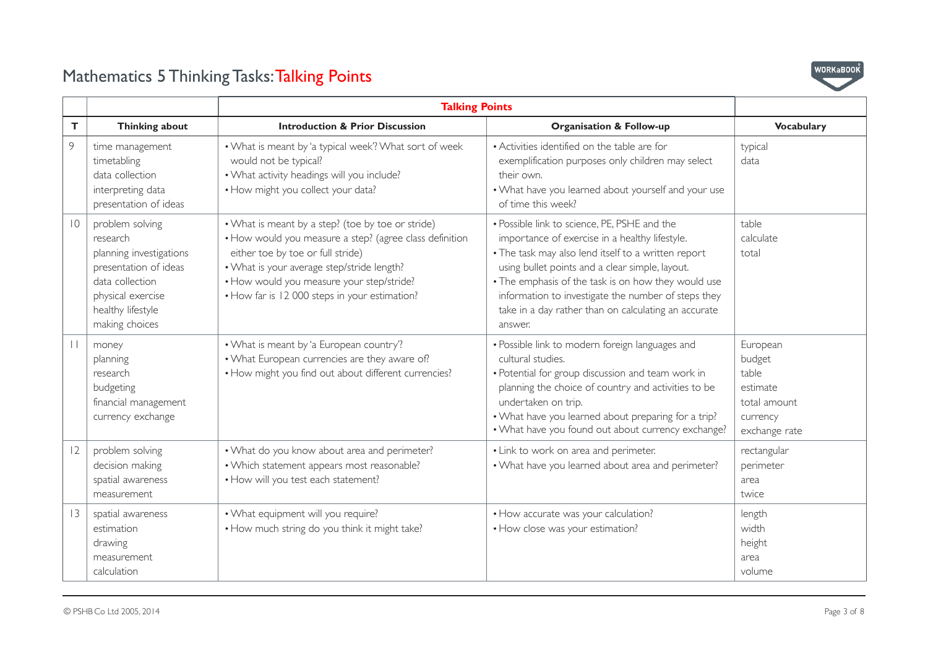

|                 |                                                                                                                                                                | <b>Talking Points</b>                                                                                                                                                                                                                                                                         |                                                                                                                                                                                                                                                                                                                                                                                           |                                                                                      |
|-----------------|----------------------------------------------------------------------------------------------------------------------------------------------------------------|-----------------------------------------------------------------------------------------------------------------------------------------------------------------------------------------------------------------------------------------------------------------------------------------------|-------------------------------------------------------------------------------------------------------------------------------------------------------------------------------------------------------------------------------------------------------------------------------------------------------------------------------------------------------------------------------------------|--------------------------------------------------------------------------------------|
| T               | Thinking about                                                                                                                                                 | <b>Introduction &amp; Prior Discussion</b>                                                                                                                                                                                                                                                    | <b>Organisation &amp; Follow-up</b>                                                                                                                                                                                                                                                                                                                                                       | <b>Vocabulary</b>                                                                    |
| 9               | time management<br>timetabling<br>data collection<br>interpreting data<br>presentation of ideas                                                                | . What is meant by 'a typical week'? What sort of week<br>would not be typical?<br>. What activity headings will you include?<br>· How might you collect your data?                                                                                                                           | • Activities identified on the table are for<br>exemplification purposes only children may select<br>their own.<br>. What have you learned about yourself and your use<br>of time this week?                                                                                                                                                                                              | typical<br>data                                                                      |
| $\overline{10}$ | problem solving<br>research<br>planning investigations<br>presentation of ideas<br>data collection<br>physical exercise<br>healthy lifestyle<br>making choices | • What is meant by a step? (toe by toe or stride)<br>• How would you measure a step? (agree class definition<br>either toe by toe or full stride)<br>. What is your average step/stride length?<br>• How would you measure your step/stride?<br>• How far is 12 000 steps in your estimation? | • Possible link to science, PE, PSHE and the<br>importance of exercise in a healthy lifestyle.<br>. The task may also lend itself to a written report<br>using bullet points and a clear simple, layout.<br>• The emphasis of the task is on how they would use<br>information to investigate the number of steps they<br>take in a day rather than on calculating an accurate<br>answer. | table<br>calculate<br>total                                                          |
| $\perp$         | money<br>planning<br>research<br>budgeting<br>financial management<br>currency exchange                                                                        | • What is meant by 'a European country'?<br>. What European currencies are they aware of?<br>• How might you find out about different currencies?                                                                                                                                             | · Possible link to modern foreign languages and<br>cultural studies.<br>• Potential for group discussion and team work in<br>planning the choice of country and activities to be<br>undertaken on trip.<br>. What have you learned about preparing for a trip?<br>. What have you found out about currency exchange?                                                                      | European<br>budget<br>table<br>estimate<br>total amount<br>currency<br>exchange rate |
| 12              | problem solving<br>decision making<br>spatial awareness<br>measurement                                                                                         | . What do you know about area and perimeter?<br>• Which statement appears most reasonable?<br>. How will you test each statement?                                                                                                                                                             | • Link to work on area and perimeter.<br>. What have you learned about area and perimeter?                                                                                                                                                                                                                                                                                                | rectangular<br>perimeter<br>area<br>twice                                            |
| 3               | spatial awareness<br>estimation<br>drawing<br>measurement<br>calculation                                                                                       | . What equipment will you require?<br>• How much string do you think it might take?                                                                                                                                                                                                           | • How accurate was your calculation?<br>• How close was your estimation?                                                                                                                                                                                                                                                                                                                  | length<br>width<br>height<br>area<br>volume                                          |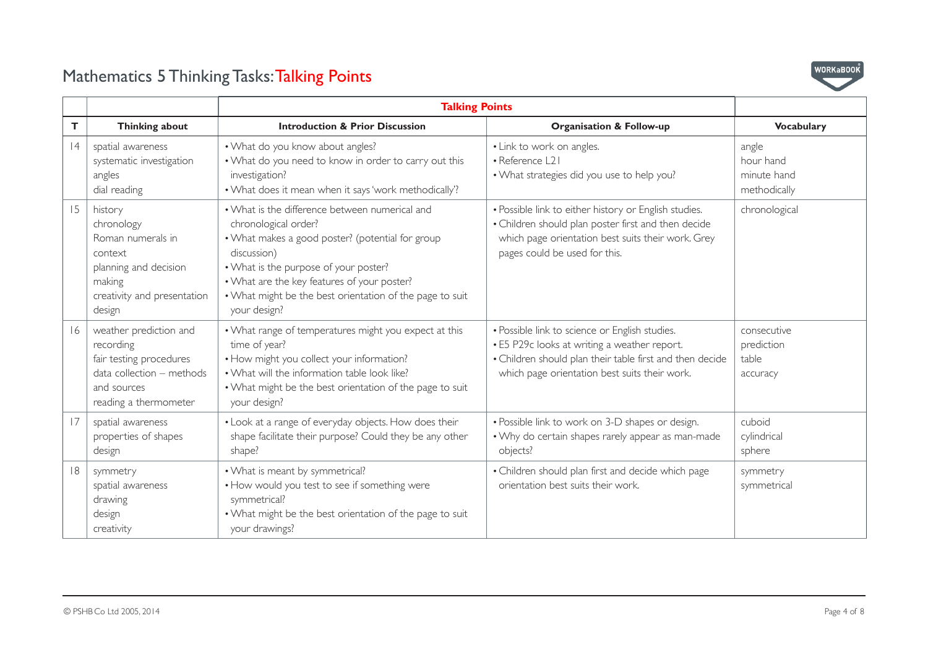

|    |                                                                                                                                     | <b>Talking Points</b>                                                                                                                                                                                                                                                                                         |                                                                                                                                                                                                             |                                                   |
|----|-------------------------------------------------------------------------------------------------------------------------------------|---------------------------------------------------------------------------------------------------------------------------------------------------------------------------------------------------------------------------------------------------------------------------------------------------------------|-------------------------------------------------------------------------------------------------------------------------------------------------------------------------------------------------------------|---------------------------------------------------|
| Т  | Thinking about                                                                                                                      | <b>Introduction &amp; Prior Discussion</b>                                                                                                                                                                                                                                                                    | <b>Organisation &amp; Follow-up</b>                                                                                                                                                                         | <b>Vocabulary</b>                                 |
| 4  | spatial awareness<br>systematic investigation<br>angles<br>dial reading                                                             | . What do you know about angles?<br>. What do you need to know in order to carry out this<br>investigation?<br>. What does it mean when it says 'work methodically'?                                                                                                                                          | • Link to work on angles.<br>• Reference L21<br>. What strategies did you use to help you?                                                                                                                  | angle<br>hour hand<br>minute hand<br>methodically |
| 15 | history<br>chronology<br>Roman numerals in<br>context<br>planning and decision<br>making<br>creativity and presentation<br>design   | • What is the difference between numerical and<br>chronological order?<br>• What makes a good poster? (potential for group<br>discussion)<br>. What is the purpose of your poster?<br>. What are the key features of your poster?<br>. What might be the best orientation of the page to suit<br>your design? | • Possible link to either history or English studies.<br>• Children should plan poster first and then decide<br>which page orientation best suits their work. Grey<br>pages could be used for this.         | chronological                                     |
| 16 | weather prediction and<br>recording<br>fair testing procedures<br>data collection - methods<br>and sources<br>reading a thermometer | • What range of temperatures might you expect at this<br>time of year?<br>• How might you collect your information?<br>. What will the information table look like?<br>. What might be the best orientation of the page to suit<br>your design?                                                               | · Possible link to science or English studies.<br>• E5 P29c looks at writing a weather report.<br>• Children should plan their table first and then decide<br>which page orientation best suits their work. | consecutive<br>prediction<br>table<br>accuracy    |
| 17 | spatial awareness<br>properties of shapes<br>design                                                                                 | . Look at a range of everyday objects. How does their<br>shape facilitate their purpose? Could they be any other<br>shape?                                                                                                                                                                                    | · Possible link to work on 3-D shapes or design.<br>• Why do certain shapes rarely appear as man-made<br>objects?                                                                                           | cuboid<br>cylindrical<br>sphere                   |
| 8  | symmetry<br>spatial awareness<br>drawing<br>design<br>creativity                                                                    | . What is meant by symmetrical?<br>• How would you test to see if something were<br>symmetrical?<br>. What might be the best orientation of the page to suit<br>your drawings?                                                                                                                                | • Children should plan first and decide which page<br>orientation best suits their work.                                                                                                                    | symmetry<br>symmetrical                           |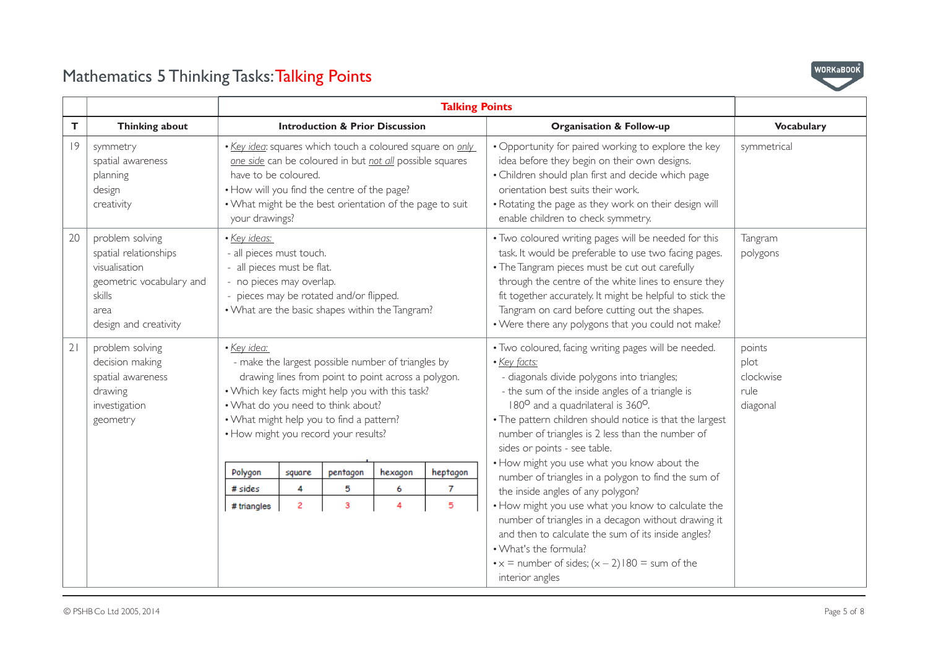

| т  | Thinking about                                                                                                                                                                                                                                                                                                                                                                                            |                                                                                                                                                                                                                                                                            |        |          | <b>Introduction &amp; Prior Discussion</b> |                                                                                                                                                                                                                                                                                                                                                                                                                                         | <b>Organisation &amp; Follow-up</b>                                                                                                                                                                                                                                                                                                                                                          | <b>Vocabulary</b>   |
|----|-----------------------------------------------------------------------------------------------------------------------------------------------------------------------------------------------------------------------------------------------------------------------------------------------------------------------------------------------------------------------------------------------------------|----------------------------------------------------------------------------------------------------------------------------------------------------------------------------------------------------------------------------------------------------------------------------|--------|----------|--------------------------------------------|-----------------------------------------------------------------------------------------------------------------------------------------------------------------------------------------------------------------------------------------------------------------------------------------------------------------------------------------------------------------------------------------------------------------------------------------|----------------------------------------------------------------------------------------------------------------------------------------------------------------------------------------------------------------------------------------------------------------------------------------------------------------------------------------------------------------------------------------------|---------------------|
| 9  | symmetry<br>spatial awareness<br>planning<br>design<br>creativity                                                                                                                                                                                                                                                                                                                                         | . Key idea: squares which touch a coloured square on only<br>one side can be coloured in but not all possible squares<br>have to be coloured.<br>. How will you find the centre of the page?<br>• What might be the best orientation of the page to suit<br>your drawings? |        |          |                                            |                                                                                                                                                                                                                                                                                                                                                                                                                                         | • Opportunity for paired working to explore the key<br>idea before they begin on their own designs.<br>• Children should plan first and decide which page<br>orientation best suits their work.<br>• Rotating the page as they work on their design will<br>enable children to check symmetry.                                                                                               | symmetrical         |
| 20 | problem solving<br>spatial relationships<br>visualisation<br>geometric vocabulary and<br>skills<br>area<br>design and creativity                                                                                                                                                                                                                                                                          | · Key ideas:<br>- all pieces must touch.<br>- all pieces must be flat.<br>- no pieces may overlap.<br>pieces may be rotated and/or flipped.<br>. What are the basic shapes within the Tangram?                                                                             |        |          |                                            |                                                                                                                                                                                                                                                                                                                                                                                                                                         | . Two coloured writing pages will be needed for this<br>task. It would be preferable to use two facing pages.<br>• The Tangram pieces must be cut out carefully<br>through the centre of the white lines to ensure they<br>fit together accurately. It might be helpful to stick the<br>Tangram on card before cutting out the shapes.<br>. Were there any polygons that you could not make? | Tangram<br>polygons |
| 21 | problem solving<br>• Key idea:<br>decision making<br>- make the largest possible number of triangles by<br>drawing lines from point to point across a polygon.<br>spatial awareness<br>. Which key facts might help you with this task?<br>drawing<br>. What do you need to think about?<br>investigation<br>. What might help you to find a pattern?<br>geometry<br>• How might you record your results? |                                                                                                                                                                                                                                                                            |        |          |                                            | • Two coloured, facing writing pages will be needed.<br>points<br>· Key facts:<br>plot<br>- diagonals divide polygons into triangles;<br>clockwise<br>- the sum of the inside angles of a triangle is<br>rule<br>180 <sup>o</sup> and a quadrilateral is 360 <sup>o</sup> .<br>diagonal<br>• The pattern children should notice is that the largest<br>number of triangles is 2 less than the number of<br>sides or points - see table. |                                                                                                                                                                                                                                                                                                                                                                                              |                     |
|    |                                                                                                                                                                                                                                                                                                                                                                                                           | Polygon                                                                                                                                                                                                                                                                    | square | pentagon | hexagon                                    | heptagon                                                                                                                                                                                                                                                                                                                                                                                                                                | . How might you use what you know about the<br>number of triangles in a polygon to find the sum of                                                                                                                                                                                                                                                                                           |                     |
|    |                                                                                                                                                                                                                                                                                                                                                                                                           | # sides                                                                                                                                                                                                                                                                    | 4      | 5        | 6                                          | 7                                                                                                                                                                                                                                                                                                                                                                                                                                       | the inside angles of any polygon?                                                                                                                                                                                                                                                                                                                                                            |                     |
|    |                                                                                                                                                                                                                                                                                                                                                                                                           | 5<br>$\overline{c}$<br>3<br>4<br># triangles                                                                                                                                                                                                                               |        |          |                                            |                                                                                                                                                                                                                                                                                                                                                                                                                                         | . How might you use what you know to calculate the<br>number of triangles in a decagon without drawing it<br>and then to calculate the sum of its inside angles?<br>. What's the formula?<br>$\cdot x$ = number of sides; $(x - 2)180$ = sum of the<br>interior angles                                                                                                                       |                     |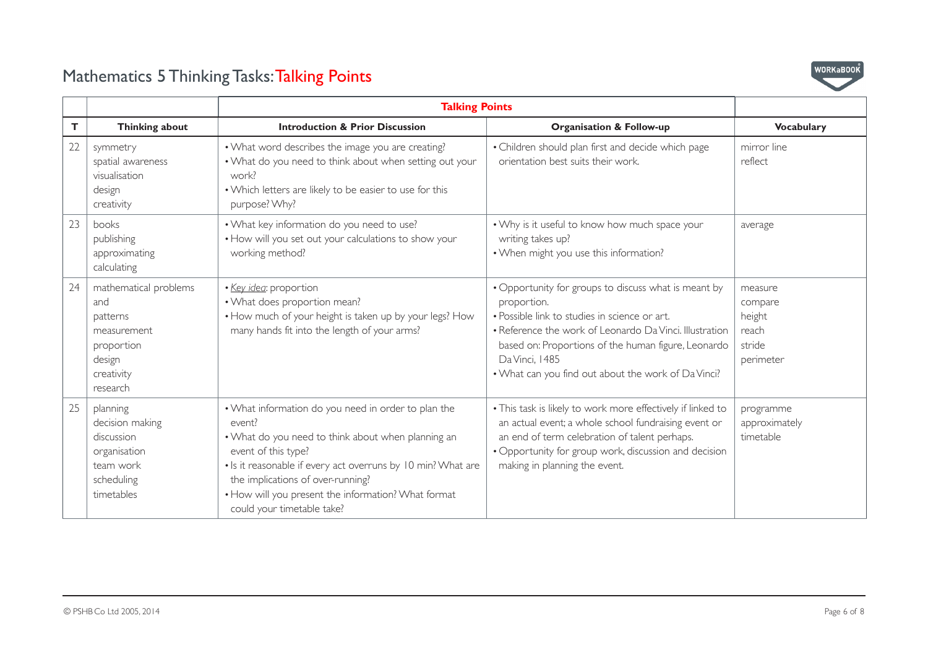

|    |                                                                                                           | <b>Talking Points</b>                                                                                                                                                                                                                                                                                                                |                                                                                                                                                                                                                                                                                                                 |                                                              |
|----|-----------------------------------------------------------------------------------------------------------|--------------------------------------------------------------------------------------------------------------------------------------------------------------------------------------------------------------------------------------------------------------------------------------------------------------------------------------|-----------------------------------------------------------------------------------------------------------------------------------------------------------------------------------------------------------------------------------------------------------------------------------------------------------------|--------------------------------------------------------------|
| T. | <b>Thinking about</b>                                                                                     | <b>Introduction &amp; Prior Discussion</b>                                                                                                                                                                                                                                                                                           | <b>Organisation &amp; Follow-up</b>                                                                                                                                                                                                                                                                             | <b>Vocabulary</b>                                            |
| 22 | symmetry<br>spatial awareness<br>visualisation<br>design<br>creativity                                    | • What word describes the image you are creating?<br>. What do you need to think about when setting out your<br>work?<br>. Which letters are likely to be easier to use for this<br>purpose? Why?                                                                                                                                    | • Children should plan first and decide which page<br>orientation best suits their work.                                                                                                                                                                                                                        | mirror line<br>reflect                                       |
| 23 | books<br>publishing<br>approximating<br>calculating                                                       | . What key information do you need to use?<br>. How will you set out your calculations to show your<br>working method?                                                                                                                                                                                                               | . Why is it useful to know how much space your<br>writing takes up?<br>. When might you use this information?                                                                                                                                                                                                   | average                                                      |
| 24 | mathematical problems<br>and<br>patterns<br>measurement<br>proportion<br>design<br>creativity<br>research | · Key idea: proportion<br>. What does proportion mean?<br>. How much of your height is taken up by your legs? How<br>many hands fit into the length of your arms?                                                                                                                                                                    | • Opportunity for groups to discuss what is meant by<br>proportion.<br>· Possible link to studies in science or art.<br>• Reference the work of Leonardo Da Vinci, Illustration<br>based on: Proportions of the human figure, Leonardo<br>Da Vinci, 1485<br>. What can you find out about the work of Da Vinci? | measure<br>compare<br>height<br>reach<br>stride<br>perimeter |
| 25 | planning<br>decision making<br>discussion<br>organisation<br>team work<br>scheduling<br>timetables        | . What information do you need in order to plan the<br>event?<br>• What do you need to think about when planning an<br>event of this type?<br>. Is it reasonable if every act overruns by 10 min? What are<br>the implications of over-running?<br>. How will you present the information? What format<br>could your timetable take? | . This task is likely to work more effectively if linked to<br>an actual event; a whole school fundraising event or<br>an end of term celebration of talent perhaps.<br>• Opportunity for group work, discussion and decision<br>making in planning the event.                                                  | programme<br>approximately<br>timetable                      |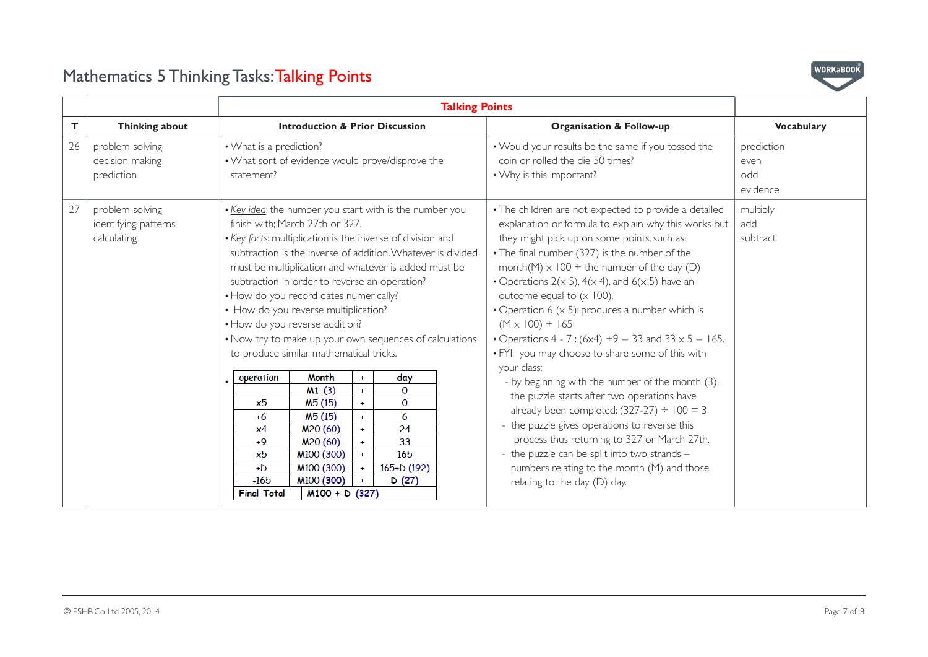

| T. | <b>Thinking about</b>                                  | <b>Introduction &amp; Prior Discussion</b>                                                                                                               |                                                                                                                                                                                                                                                                                                                                                                                                                                                                                                                                                                                                                                                                                                                                                                                                                                                                                 |  |  | <b>Organisation &amp; Follow-up</b>                                                                                                                                                                                                                                                                                                                                                                                                                                                                                                                                                                                                                                                                                                                                                                                                                                                                                                                                        | <b>Vocabulary</b>                     |
|----|--------------------------------------------------------|----------------------------------------------------------------------------------------------------------------------------------------------------------|---------------------------------------------------------------------------------------------------------------------------------------------------------------------------------------------------------------------------------------------------------------------------------------------------------------------------------------------------------------------------------------------------------------------------------------------------------------------------------------------------------------------------------------------------------------------------------------------------------------------------------------------------------------------------------------------------------------------------------------------------------------------------------------------------------------------------------------------------------------------------------|--|--|----------------------------------------------------------------------------------------------------------------------------------------------------------------------------------------------------------------------------------------------------------------------------------------------------------------------------------------------------------------------------------------------------------------------------------------------------------------------------------------------------------------------------------------------------------------------------------------------------------------------------------------------------------------------------------------------------------------------------------------------------------------------------------------------------------------------------------------------------------------------------------------------------------------------------------------------------------------------------|---------------------------------------|
| 26 | problem solving<br>decision making<br>prediction       | • What is a prediction?<br>. What sort of evidence would prove/disprove the<br>statement?                                                                |                                                                                                                                                                                                                                                                                                                                                                                                                                                                                                                                                                                                                                                                                                                                                                                                                                                                                 |  |  | . Would your results be the same if you tossed the<br>coin or rolled the die 50 times?<br>• Why is this important?                                                                                                                                                                                                                                                                                                                                                                                                                                                                                                                                                                                                                                                                                                                                                                                                                                                         | prediction<br>even<br>odd<br>evidence |
| 27 | problem solving<br>identifying patterns<br>calculating | finish with; March 27th or 327.<br>• How do you reverse addition?<br>operation<br>x5<br>$+6$<br>x4<br>$+9$<br>x5<br>$+D$<br>$-165$<br><b>Final Total</b> | . Key idea: the number you start with is the number you<br>. Key facts: multiplication is the inverse of division and<br>subtraction is the inverse of addition. Whatever is divided<br>must be multiplication and whatever is added must be<br>subtraction in order to reverse an operation?<br>• How do you record dates numerically?<br>• How do you reverse multiplication?<br>. Now try to make up your own sequences of calculations<br>to produce similar mathematical tricks.<br><b>Month</b><br>day<br>$+$<br>M1(3)<br>$\Omega$<br>$+$<br>$\mathbf{O}$<br>M <sub>5</sub> (15)<br>$+$<br>M <sub>5</sub> (15)<br>6<br>$+$<br>24<br>M <sub>20</sub> (60)<br>$\ddot{\phantom{1}}$<br>M20 (60)<br>33<br>$\ddot{+}$<br>M100 (300)<br>165<br>$\ddot{\phantom{1}}$<br>M100 (300)<br>165+D (192)<br>$\ddot{\phantom{1}}$<br>M <sub>100</sub> (300)<br>D(27)<br>$M100 + D$ (327) |  |  | • The children are not expected to provide a detailed<br>explanation or formula to explain why this works but<br>they might pick up on some points, such as:<br>• The final number (327) is the number of the<br>month(M) $\times$ 100 + the number of the day (D)<br>• Operations $2(x 5)$ , $4(x 4)$ , and $6(x 5)$ have an<br>outcome equal to $(x 100)$ .<br>• Operation 6 $(x 5)$ : produces a number which is<br>$(M \times 100) + 165$<br>• Operations 4 - 7 : $(6x4) +9 = 33$ and $33 \times 5 = 165$ .<br>. FYI: you may choose to share some of this with<br>your class:<br>- by beginning with the number of the month (3),<br>the puzzle starts after two operations have<br>already been completed: $(327-27) \div 100 = 3$<br>- the puzzle gives operations to reverse this<br>process thus returning to 327 or March 27th.<br>- the puzzle can be split into two strands -<br>numbers relating to the month (M) and those<br>relating to the day $(D)$ day. | multiply<br>add<br>subtract           |